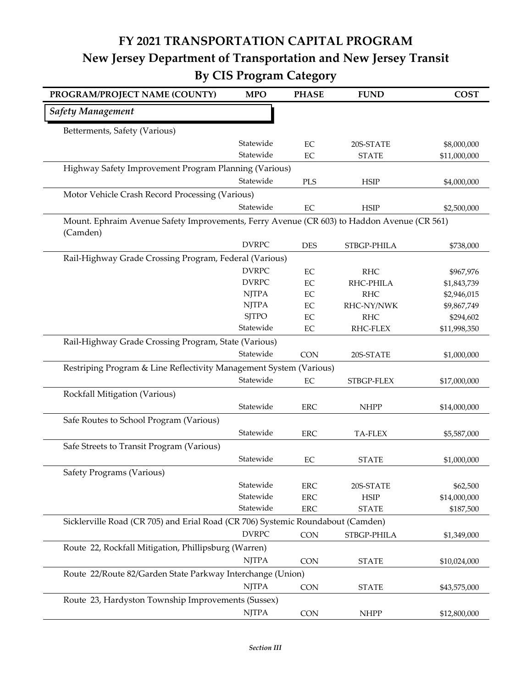## **FY 2021 TRANSPORTATION CAPITAL PROGRAM New Jersey Department of Transportation and New Jersey Transit By CIS Program Category**

| PROGRAM/PROJECT NAME (COUNTY)                                                                          | <b>MPO</b>             | <b>PHASE</b>      | <b>FUND</b>    | <b>COST</b>  |
|--------------------------------------------------------------------------------------------------------|------------------------|-------------------|----------------|--------------|
| <b>Safety Management</b>                                                                               |                        |                   |                |              |
| Betterments, Safety (Various)                                                                          |                        |                   |                |              |
|                                                                                                        | Statewide              | $\rm EC$          | 20S-STATE      | \$8,000,000  |
|                                                                                                        | Statewide              | EC                | <b>STATE</b>   | \$11,000,000 |
| Highway Safety Improvement Program Planning (Various)                                                  |                        |                   |                |              |
|                                                                                                        | Statewide              | <b>PLS</b>        | <b>HSIP</b>    | \$4,000,000  |
| Motor Vehicle Crash Record Processing (Various)                                                        |                        |                   |                |              |
|                                                                                                        | Statewide              | $\rm EC$          | <b>HSIP</b>    | \$2,500,000  |
| Mount. Ephraim Avenue Safety Improvements, Ferry Avenue (CR 603) to Haddon Avenue (CR 561)<br>(Camden) |                        |                   |                |              |
|                                                                                                        | <b>DVRPC</b>           | <b>DES</b>        | STBGP-PHILA    | \$738,000    |
| Rail-Highway Grade Crossing Program, Federal (Various)                                                 |                        |                   |                |              |
|                                                                                                        | <b>DVRPC</b>           | EC                | <b>RHC</b>     | \$967,976    |
|                                                                                                        | <b>DVRPC</b>           | $\rm EC$          | RHC-PHILA      | \$1,843,739  |
|                                                                                                        | <b>NJTPA</b>           | EC                | <b>RHC</b>     | \$2,946,015  |
|                                                                                                        | <b>NJTPA</b>           | EC                | RHC-NY/NWK     | \$9,867,749  |
|                                                                                                        | <b>SJTPO</b>           | $\rm EC$          | <b>RHC</b>     | \$294,602    |
|                                                                                                        | Statewide              | $\rm EC$          | RHC-FLEX       | \$11,998,350 |
| Rail-Highway Grade Crossing Program, State (Various)                                                   |                        |                   |                |              |
|                                                                                                        | Statewide              | <b>CON</b>        | 20S-STATE      | \$1,000,000  |
| Restriping Program & Line Reflectivity Management System (Various)                                     |                        |                   |                |              |
|                                                                                                        | Statewide              | $\rm EC$          | STBGP-FLEX     | \$17,000,000 |
| Rockfall Mitigation (Various)                                                                          |                        |                   |                |              |
|                                                                                                        | Statewide              | <b>ERC</b>        | <b>NHPP</b>    | \$14,000,000 |
| Safe Routes to School Program (Various)                                                                |                        |                   |                |              |
|                                                                                                        | Statewide              | <b>ERC</b>        | <b>TA-FLEX</b> | \$5,587,000  |
| Safe Streets to Transit Program (Various)                                                              |                        |                   |                |              |
|                                                                                                        | Statewide              | EC                | <b>STATE</b>   | \$1,000,000  |
|                                                                                                        |                        |                   |                |              |
| Safety Programs (Various)                                                                              |                        |                   |                |              |
|                                                                                                        | Statewide<br>Statewide | ${\rm ERC}$       | 20S-STATE      | \$62,500     |
|                                                                                                        | Statewide              | ERC<br><b>ERC</b> | <b>HSIP</b>    | \$14,000,000 |
|                                                                                                        |                        |                   | <b>STATE</b>   | \$187,500    |
| Sicklerville Road (CR 705) and Erial Road (CR 706) Systemic Roundabout (Camden)                        |                        |                   |                |              |
|                                                                                                        | <b>DVRPC</b>           | <b>CON</b>        | STBGP-PHILA    | \$1,349,000  |
| Route 22, Rockfall Mitigation, Phillipsburg (Warren)                                                   |                        |                   |                |              |
|                                                                                                        | <b>NJTPA</b>           | CON               | <b>STATE</b>   | \$10,024,000 |
| Route 22/Route 82/Garden State Parkway Interchange (Union)                                             |                        |                   |                |              |
|                                                                                                        | <b>NJTPA</b>           | <b>CON</b>        | <b>STATE</b>   | \$43,575,000 |
| Route 23, Hardyston Township Improvements (Sussex)                                                     |                        |                   |                |              |
|                                                                                                        | <b>NJTPA</b>           | CON               | <b>NHPP</b>    | \$12,800,000 |